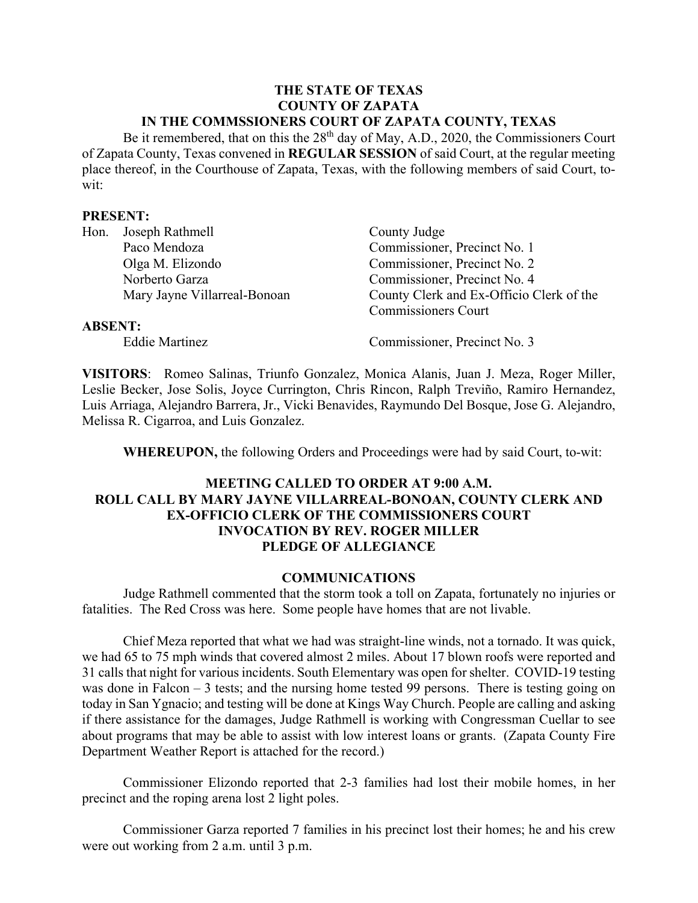#### **THE STATE OF TEXAS COUNTY OF ZAPATA IN THE COMMSSIONERS COURT OF ZAPATA COUNTY, TEXAS**

Be it remembered, that on this the  $28<sup>th</sup>$  day of May, A.D., 2020, the Commissioners Court of Zapata County, Texas convened in **REGULAR SESSION** of said Court, at the regular meeting place thereof, in the Courthouse of Zapata, Texas, with the following members of said Court, towit:

#### **PRESENT:**

| Hon.           | Joseph Rathmell              | County Judge                             |
|----------------|------------------------------|------------------------------------------|
|                | Paco Mendoza                 | Commissioner, Precinct No. 1             |
|                | Olga M. Elizondo             | Commissioner, Precinct No. 2             |
|                | Norberto Garza               | Commissioner, Precinct No. 4             |
|                | Mary Jayne Villarreal-Bonoan | County Clerk and Ex-Officio Clerk of the |
|                |                              | <b>Commissioners Court</b>               |
| <b>ABSENT:</b> |                              |                                          |
|                | <b>Eddie Martinez</b>        | Commissioner, Precinct No. 3             |

**VISITORS**: Romeo Salinas, Triunfo Gonzalez, Monica Alanis, Juan J. Meza, Roger Miller, Leslie Becker, Jose Solis, Joyce Currington, Chris Rincon, Ralph Treviño, Ramiro Hernandez, Luis Arriaga, Alejandro Barrera, Jr., Vicki Benavides, Raymundo Del Bosque, Jose G. Alejandro, Melissa R. Cigarroa, and Luis Gonzalez.

**WHEREUPON,** the following Orders and Proceedings were had by said Court, to-wit:

## **MEETING CALLED TO ORDER AT 9:00 A.M. ROLL CALL BY MARY JAYNE VILLARREAL-BONOAN, COUNTY CLERK AND EX-OFFICIO CLERK OF THE COMMISSIONERS COURT INVOCATION BY REV. ROGER MILLER PLEDGE OF ALLEGIANCE**

#### **COMMUNICATIONS**

Judge Rathmell commented that the storm took a toll on Zapata, fortunately no injuries or fatalities. The Red Cross was here. Some people have homes that are not livable.

Chief Meza reported that what we had was straight-line winds, not a tornado. It was quick, we had 65 to 75 mph winds that covered almost 2 miles. About 17 blown roofs were reported and 31 calls that night for various incidents. South Elementary was open for shelter. COVID-19 testing was done in Falcon – 3 tests; and the nursing home tested 99 persons. There is testing going on today in San Ygnacio; and testing will be done at Kings Way Church. People are calling and asking if there assistance for the damages, Judge Rathmell is working with Congressman Cuellar to see about programs that may be able to assist with low interest loans or grants. (Zapata County Fire Department Weather Report is attached for the record.)

Commissioner Elizondo reported that 2-3 families had lost their mobile homes, in her precinct and the roping arena lost 2 light poles.

Commissioner Garza reported 7 families in his precinct lost their homes; he and his crew were out working from 2 a.m. until 3 p.m.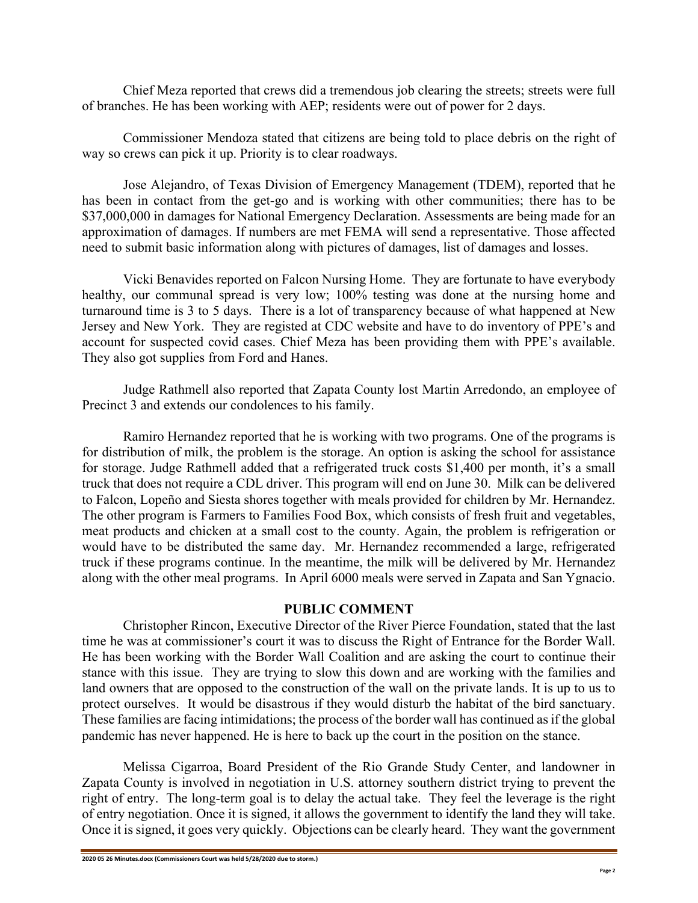Chief Meza reported that crews did a tremendous job clearing the streets; streets were full of branches. He has been working with AEP; residents were out of power for 2 days.

Commissioner Mendoza stated that citizens are being told to place debris on the right of way so crews can pick it up. Priority is to clear roadways.

Jose Alejandro, of Texas Division of Emergency Management (TDEM), reported that he has been in contact from the get-go and is working with other communities; there has to be \$37,000,000 in damages for National Emergency Declaration. Assessments are being made for an approximation of damages. If numbers are met FEMA will send a representative. Those affected need to submit basic information along with pictures of damages, list of damages and losses.

Vicki Benavides reported on Falcon Nursing Home. They are fortunate to have everybody healthy, our communal spread is very low; 100% testing was done at the nursing home and turnaround time is 3 to 5 days. There is a lot of transparency because of what happened at New Jersey and New York. They are registed at CDC website and have to do inventory of PPE's and account for suspected covid cases. Chief Meza has been providing them with PPE's available. They also got supplies from Ford and Hanes.

Judge Rathmell also reported that Zapata County lost Martin Arredondo, an employee of Precinct 3 and extends our condolences to his family.

Ramiro Hernandez reported that he is working with two programs. One of the programs is for distribution of milk, the problem is the storage. An option is asking the school for assistance for storage. Judge Rathmell added that a refrigerated truck costs \$1,400 per month, it's a small truck that does not require a CDL driver. This program will end on June 30. Milk can be delivered to Falcon, Lopeño and Siesta shores together with meals provided for children by Mr. Hernandez. The other program is Farmers to Families Food Box, which consists of fresh fruit and vegetables, meat products and chicken at a small cost to the county. Again, the problem is refrigeration or would have to be distributed the same day. Mr. Hernandez recommended a large, refrigerated truck if these programs continue. In the meantime, the milk will be delivered by Mr. Hernandez along with the other meal programs. In April 6000 meals were served in Zapata and San Ygnacio.

#### **PUBLIC COMMENT**

Christopher Rincon, Executive Director of the River Pierce Foundation, stated that the last time he was at commissioner's court it was to discuss the Right of Entrance for the Border Wall. He has been working with the Border Wall Coalition and are asking the court to continue their stance with this issue. They are trying to slow this down and are working with the families and land owners that are opposed to the construction of the wall on the private lands. It is up to us to protect ourselves. It would be disastrous if they would disturb the habitat of the bird sanctuary. These families are facing intimidations; the process of the border wall has continued as if the global pandemic has never happened. He is here to back up the court in the position on the stance.

Melissa Cigarroa, Board President of the Rio Grande Study Center, and landowner in Zapata County is involved in negotiation in U.S. attorney southern district trying to prevent the right of entry. The long-term goal is to delay the actual take. They feel the leverage is the right of entry negotiation. Once it is signed, it allows the government to identify the land they will take. Once it is signed, it goes very quickly. Objections can be clearly heard. They want the government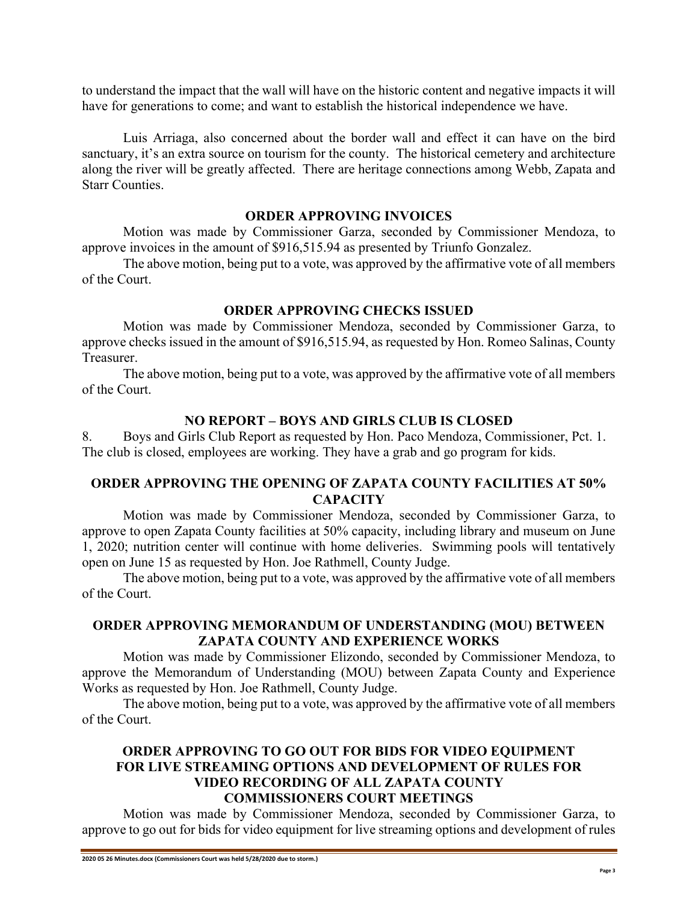to understand the impact that the wall will have on the historic content and negative impacts it will have for generations to come; and want to establish the historical independence we have.

Luis Arriaga, also concerned about the border wall and effect it can have on the bird sanctuary, it's an extra source on tourism for the county. The historical cemetery and architecture along the river will be greatly affected. There are heritage connections among Webb, Zapata and Starr Counties.

### **ORDER APPROVING INVOICES**

Motion was made by Commissioner Garza, seconded by Commissioner Mendoza, to approve invoices in the amount of \$916,515.94 as presented by Triunfo Gonzalez.

The above motion, being put to a vote, was approved by the affirmative vote of all members of the Court.

## **ORDER APPROVING CHECKS ISSUED**

Motion was made by Commissioner Mendoza, seconded by Commissioner Garza, to approve checks issued in the amount of \$916,515.94, as requested by Hon. Romeo Salinas, County Treasurer.

The above motion, being put to a vote, was approved by the affirmative vote of all members of the Court.

## **NO REPORT – BOYS AND GIRLS CLUB IS CLOSED**

8. Boys and Girls Club Report as requested by Hon. Paco Mendoza, Commissioner, Pct. 1. The club is closed, employees are working. They have a grab and go program for kids.

# **ORDER APPROVING THE OPENING OF ZAPATA COUNTY FACILITIES AT 50% CAPACITY**

Motion was made by Commissioner Mendoza, seconded by Commissioner Garza, to approve to open Zapata County facilities at 50% capacity, including library and museum on June 1, 2020; nutrition center will continue with home deliveries. Swimming pools will tentatively open on June 15 as requested by Hon. Joe Rathmell, County Judge.

The above motion, being put to a vote, was approved by the affirmative vote of all members of the Court.

## **ORDER APPROVING MEMORANDUM OF UNDERSTANDING (MOU) BETWEEN ZAPATA COUNTY AND EXPERIENCE WORKS**

Motion was made by Commissioner Elizondo, seconded by Commissioner Mendoza, to approve the Memorandum of Understanding (MOU) between Zapata County and Experience Works as requested by Hon. Joe Rathmell, County Judge.

The above motion, being put to a vote, was approved by the affirmative vote of all members of the Court.

### **ORDER APPROVING TO GO OUT FOR BIDS FOR VIDEO EQUIPMENT FOR LIVE STREAMING OPTIONS AND DEVELOPMENT OF RULES FOR VIDEO RECORDING OF ALL ZAPATA COUNTY COMMISSIONERS COURT MEETINGS**

Motion was made by Commissioner Mendoza, seconded by Commissioner Garza, to approve to go out for bids for video equipment for live streaming options and development of rules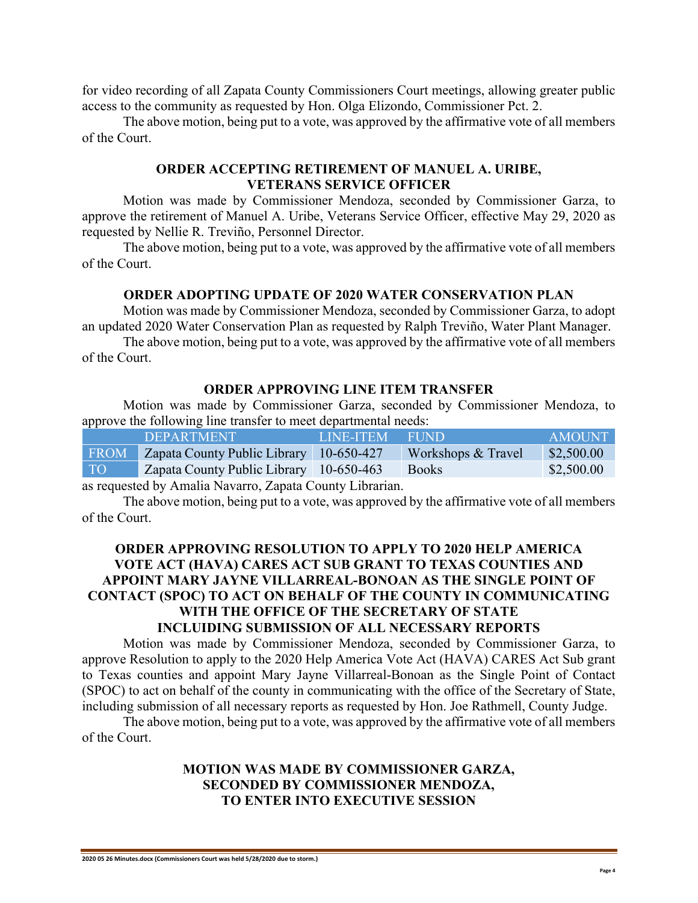for video recording of all Zapata County Commissioners Court meetings, allowing greater public access to the community as requested by Hon. Olga Elizondo, Commissioner Pct. 2.

The above motion, being put to a vote, was approved by the affirmative vote of all members of the Court.

## **ORDER ACCEPTING RETIREMENT OF MANUEL A. URIBE, VETERANS SERVICE OFFICER**

Motion was made by Commissioner Mendoza, seconded by Commissioner Garza, to approve the retirement of Manuel A. Uribe, Veterans Service Officer, effective May 29, 2020 as requested by Nellie R. Treviño, Personnel Director.

The above motion, being put to a vote, was approved by the affirmative vote of all members of the Court.

#### **ORDER ADOPTING UPDATE OF 2020 WATER CONSERVATION PLAN**

Motion was made by Commissioner Mendoza, seconded by Commissioner Garza, to adopt an updated 2020 Water Conservation Plan as requested by Ralph Treviño, Water Plant Manager.

The above motion, being put to a vote, was approved by the affirmative vote of all members of the Court.

#### **ORDER APPROVING LINE ITEM TRANSFER**

Motion was made by Commissioner Garza, seconded by Commissioner Mendoza, to approve the following line transfer to meet departmental needs:

|             | <b>DEPARTMENT</b>                       | LINE-ITEM FUND |                    | AMOUNT.    |
|-------------|-----------------------------------------|----------------|--------------------|------------|
| <b>FROM</b> | Zapata County Public Library 10-650-427 |                | Workshops & Travel | \$2,500.00 |
| TO          | Zapata County Public Library 10-650-463 |                | <b>Books</b>       | \$2,500.00 |
|             |                                         |                |                    |            |

as requested by Amalia Navarro, Zapata County Librarian.

The above motion, being put to a vote, was approved by the affirmative vote of all members of the Court.

## **ORDER APPROVING RESOLUTION TO APPLY TO 2020 HELP AMERICA VOTE ACT (HAVA) CARES ACT SUB GRANT TO TEXAS COUNTIES AND APPOINT MARY JAYNE VILLARREAL-BONOAN AS THE SINGLE POINT OF CONTACT (SPOC) TO ACT ON BEHALF OF THE COUNTY IN COMMUNICATING WITH THE OFFICE OF THE SECRETARY OF STATE INCLUIDING SUBMISSION OF ALL NECESSARY REPORTS**

Motion was made by Commissioner Mendoza, seconded by Commissioner Garza, to approve Resolution to apply to the 2020 Help America Vote Act (HAVA) CARES Act Sub grant to Texas counties and appoint Mary Jayne Villarreal-Bonoan as the Single Point of Contact (SPOC) to act on behalf of the county in communicating with the office of the Secretary of State, including submission of all necessary reports as requested by Hon. Joe Rathmell, County Judge.

The above motion, being put to a vote, was approved by the affirmative vote of all members of the Court.

### **MOTION WAS MADE BY COMMISSIONER GARZA, SECONDED BY COMMISSIONER MENDOZA, TO ENTER INTO EXECUTIVE SESSION**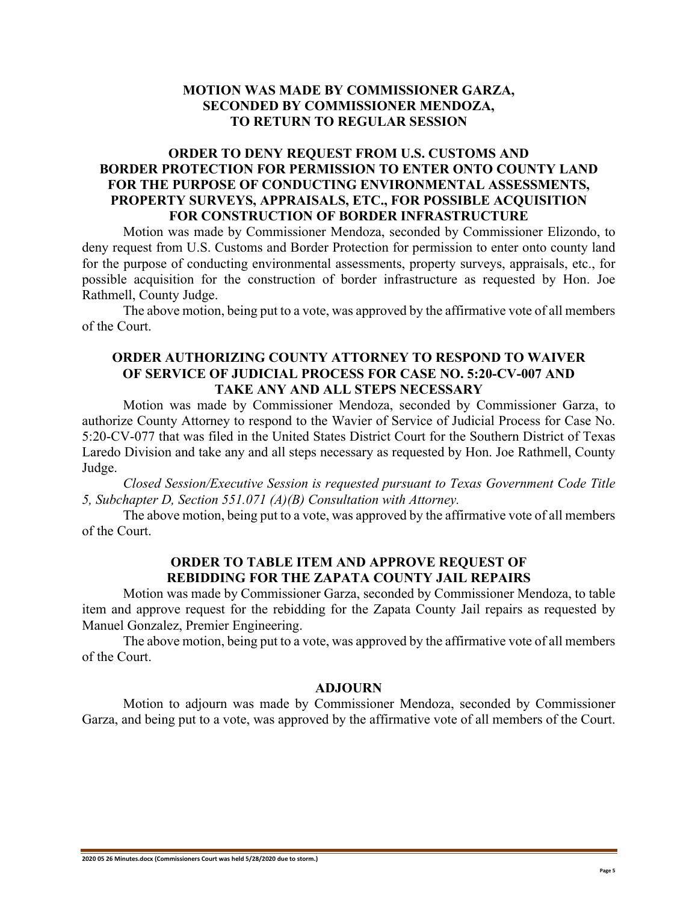## **MOTION WAS MADE BY COMMISSIONER GARZA, SECONDED BY COMMISSIONER MENDOZA, TO RETURN TO REGULAR SESSION**

## **ORDER TO DENY REQUEST FROM U.S. CUSTOMS AND BORDER PROTECTION FOR PERMISSION TO ENTER ONTO COUNTY LAND FOR THE PURPOSE OF CONDUCTING ENVIRONMENTAL ASSESSMENTS, PROPERTY SURVEYS, APPRAISALS, ETC., FOR POSSIBLE ACQUISITION FOR CONSTRUCTION OF BORDER INFRASTRUCTURE**

Motion was made by Commissioner Mendoza, seconded by Commissioner Elizondo, to deny request from U.S. Customs and Border Protection for permission to enter onto county land for the purpose of conducting environmental assessments, property surveys, appraisals, etc., for possible acquisition for the construction of border infrastructure as requested by Hon. Joe Rathmell, County Judge.

The above motion, being put to a vote, was approved by the affirmative vote of all members of the Court.

### **ORDER AUTHORIZING COUNTY ATTORNEY TO RESPOND TO WAIVER OF SERVICE OF JUDICIAL PROCESS FOR CASE NO. 5:20-CV-007 AND TAKE ANY AND ALL STEPS NECESSARY**

Motion was made by Commissioner Mendoza, seconded by Commissioner Garza, to authorize County Attorney to respond to the Wavier of Service of Judicial Process for Case No. 5:20-CV-077 that was filed in the United States District Court for the Southern District of Texas Laredo Division and take any and all steps necessary as requested by Hon. Joe Rathmell, County Judge.

*Closed Session/Executive Session is requested pursuant to Texas Government Code Title 5, Subchapter D, Section 551.071 (A)(B) Consultation with Attorney.*

The above motion, being put to a vote, was approved by the affirmative vote of all members of the Court.

#### **ORDER TO TABLE ITEM AND APPROVE REQUEST OF REBIDDING FOR THE ZAPATA COUNTY JAIL REPAIRS**

Motion was made by Commissioner Garza, seconded by Commissioner Mendoza, to table item and approve request for the rebidding for the Zapata County Jail repairs as requested by Manuel Gonzalez, Premier Engineering.

The above motion, being put to a vote, was approved by the affirmative vote of all members of the Court.

#### **ADJOURN**

Motion to adjourn was made by Commissioner Mendoza, seconded by Commissioner Garza, and being put to a vote, was approved by the affirmative vote of all members of the Court.